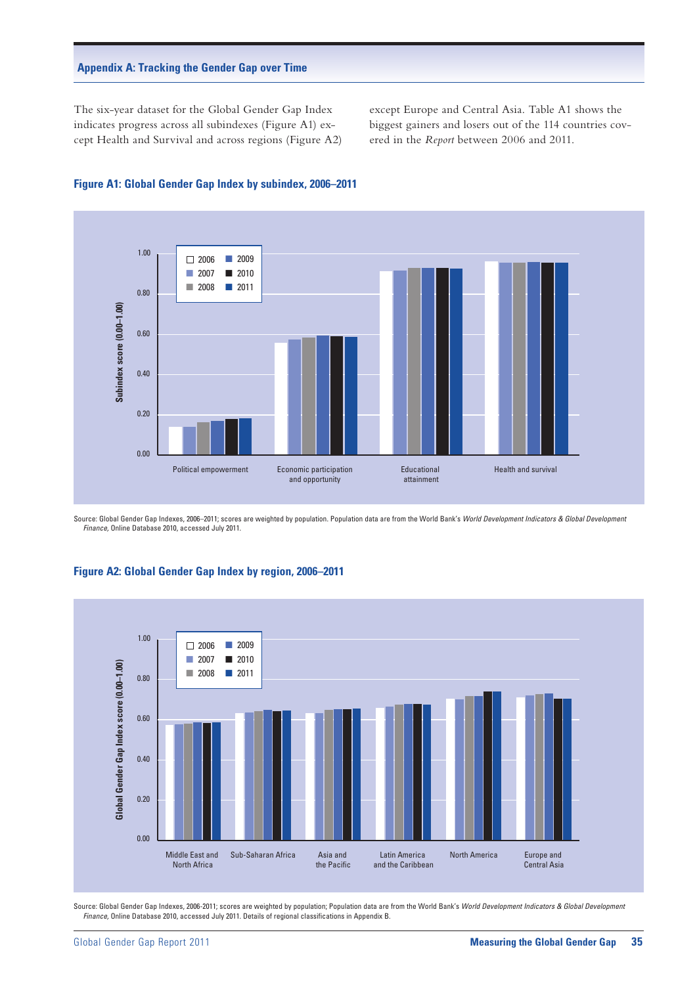### **Appendix A: Tracking the Gender Gap over Time**

The six-year dataset for the Global Gender Gap Index indicates progress across all subindexes (Figure A1) except Health and Survival and across regions (Figure A2) except Europe and Central Asia. Table A1 shows the biggest gainers and losers out of the 114 countries covered in the *Report* between 2006 and 2011.



### **Figure A1: Global Gender Gap Index by subindex, 2006–2011**

Source: Global Gender Gap Indexes, 2006–2011; scores are weighted by population. Population data are from the World Bank's *World Development Indicators & Global Development Finance,* Online Database 2010, accessed July 2011.

#### 1.00 2006  $12009$ n 2010  $\blacksquare$  2007 Global Gender Gap Index score (0.00-1.00) **Global Gender Gap Index score (0.00–1.00)**  $\blacksquare$  2008  $\blacksquare$  2011 0.80 0.60 0.40 0.20  $0.00$ Middle East and Sub-Saharan Africa Asia and Latin America North America Europe and North Africa the Pacific and the Caribbean Central Asia

#### **Figure A2: Global Gender Gap Index by region, 2006–2011**

Source: Global Gender Gap Indexes, 2006-2011; scores are weighted by population; Population data are from the World Bank's World Development Indicators & Global Development *Finance,* Online Database 2010, accessed July 2011. Details of regional classifications in Appendix B.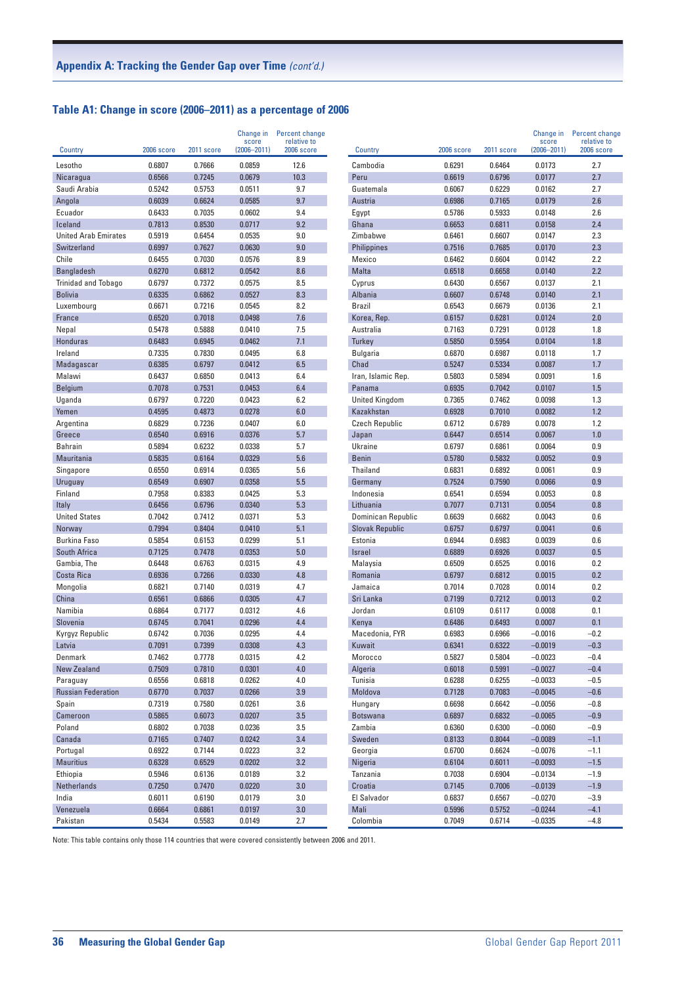# **Table A1: Change in score (2006–2011) as a percentage of 2006**

| Country                               | 2006 score       | 2011 score       | Change in<br>score<br>$(2006 - 2011)$ | Percent change<br>relative to<br>2006 score | Country                | 2006 score       | 2011 score       | Change in<br>score<br>$(2006 - 2011)$ | Percent change<br>relative to<br>2006 score |
|---------------------------------------|------------------|------------------|---------------------------------------|---------------------------------------------|------------------------|------------------|------------------|---------------------------------------|---------------------------------------------|
| Lesotho                               | 0.6807           | 0.7666           | 0.0859                                | 12.6                                        | Cambodia               | 0.6291           | 0.6464           | 0.0173                                | 2.7                                         |
| Nicaragua                             | 0.6566           | 0.7245           | 0.0679                                | 10.3                                        | Peru                   | 0.6619           | 0.6796           | 0.0177                                | 2.7                                         |
| Saudi Arabia                          | 0.5242           | 0.5753           | 0.0511                                | 9.7                                         | Guatemala              | 0.6067           | 0.6229           | 0.0162                                | 2.7                                         |
| Angola                                | 0.6039           | 0.6624           | 0.0585                                | 9.7                                         | Austria                | 0.6986           | 0.7165           | 0.0179                                | 2.6                                         |
| Ecuador                               | 0.6433           | 0.7035           | 0.0602                                | 9.4                                         | Egypt                  | 0.5786           | 0.5933           | 0.0148                                | 2.6                                         |
| Iceland                               | 0.7813           | 0.8530           | 0.0717                                | 9.2                                         | Ghana                  | 0.6653           | 0.6811           | 0.0158                                | 2.4                                         |
| <b>United Arab Emirates</b>           | 0.5919           | 0.6454           | 0.0535                                | 9.0                                         | Zimbabwe               | 0.6461           | 0.6607           | 0.0147                                | 2.3                                         |
| Switzerland                           | 0.6997           | 0.7627           | 0.0630                                | 9.0                                         | <b>Philippines</b>     | 0.7516           | 0.7685           | 0.0170                                | 2.3                                         |
| Chile                                 | 0.6455           | 0.7030           | 0.0576                                | 8.9                                         | Mexico                 | 0.6462           | 0.6604           | 0.0142                                | 2.2                                         |
| <b>Bangladesh</b>                     | 0.6270           | 0.6812           | 0.0542                                | 8.6                                         | Malta                  | 0.6518           | 0.6658           | 0.0140                                | 2.2                                         |
| <b>Trinidad and Tobago</b>            | 0.6797           | 0.7372           | 0.0575                                | 8.5                                         | Cyprus                 | 0.6430           | 0.6567           | 0.0137                                | 2.1                                         |
| <b>Bolivia</b>                        | 0.6335           | 0.6862           | 0.0527                                | 8.3                                         | Albania                | 0.6607           | 0.6748           | 0.0140                                | 2.1                                         |
| Luxembourg                            | 0.6671           | 0.7216           | 0.0545                                | 8.2                                         | Brazil                 | 0.6543           | 0.6679           | 0.0136                                | 2.1                                         |
| France                                | 0.6520           | 0.7018           | 0.0498                                | 7.6                                         | Korea, Rep.            | 0.6157           | 0.6281           | 0.0124                                | 2.0                                         |
| Nepal                                 | 0.5478           | 0.5888           | 0.0410                                | 7.5                                         | Australia              | 0.7163           | 0.7291           | 0.0128                                | 1.8                                         |
| Honduras                              | 0.6483           | 0.6945           | 0.0462                                | 7.1                                         | Turkey                 | 0.5850           | 0.5954           | 0.0104                                | 1.8                                         |
| Ireland                               | 0.7335           | 0.7830           | 0.0495                                | 6.8                                         | Bulgaria               | 0.6870           | 0.6987           | 0.0118                                | 1.7                                         |
| Madagascar                            | 0.6385           | 0.6797           | 0.0412                                | 6.5                                         | Chad                   | 0.5247           | 0.5334           | 0.0087                                | 1.7                                         |
| Malawi                                | 0.6437           | 0.6850           | 0.0413                                | 6.4                                         | Iran, Islamic Rep.     | 0.5803           | 0.5894           | 0.0091                                | 1.6                                         |
| Belgium                               | 0.7078           | 0.7531           | 0.0453                                | 6.4                                         | Panama                 | 0.6935           | 0.7042           | 0.0107                                | 1.5                                         |
| Uganda                                | 0.6797           | 0.7220           | 0.0423                                | 6.2                                         | <b>United Kingdom</b>  | 0.7365           | 0.7462           | 0.0098                                | 1.3                                         |
| Yemen                                 | 0.4595           | 0.4873           | 0.0278                                | 6.0                                         | Kazakhstan             | 0.6928           | 0.7010           | 0.0082                                | 1.2                                         |
| Argentina                             | 0.6829           | 0.7236           | 0.0407                                | 6.0                                         | <b>Czech Republic</b>  | 0.6712           | 0.6789           | 0.0078                                | 1.2                                         |
| Greece                                | 0.6540           | 0.6916           | 0.0376                                | 5.7                                         | Japan                  | 0.6447           | 0.6514           | 0.0067                                | 1.0                                         |
| Bahrain                               | 0.5894           | 0.6232           | 0.0338                                | 5.7                                         | Ukraine                | 0.6797           | 0.6861           | 0.0064                                | 0.9                                         |
| Mauritania                            | 0.5835           | 0.6164           | 0.0329                                | 5.6                                         | <b>Benin</b>           | 0.5780           | 0.5832           | 0.0052                                | 0.9                                         |
| Singapore                             | 0.6550           | 0.6914           | 0.0365                                | 5.6                                         | Thailand               | 0.6831           | 0.6892           | 0.0061                                | 0.9                                         |
| Uruguay                               | 0.6549           | 0.6907           | 0.0358                                | 5.5                                         | Germany                | 0.7524           | 0.7590           | 0.0066                                | 0.9                                         |
| Finland                               | 0.7958           | 0.8383           | 0.0425                                | 5.3                                         | Indonesia              | 0.6541           | 0.6594           | 0.0053                                | 0.8                                         |
| Italy                                 | 0.6456           | 0.6796           | 0.0340                                | 5.3                                         | Lithuania              | 0.7077           | 0.7131           | 0.0054                                | 0.8                                         |
| <b>United States</b>                  | 0.7042           | 0.7412           | 0.0371                                | 5.3                                         | Dominican Republic     | 0.6639           | 0.6682           | 0.0043                                | 0.6                                         |
| Norway                                | 0.7994           | 0.8404           | 0.0410                                | 5.1                                         | <b>Slovak Republic</b> | 0.6757           | 0.6797           | 0.0041                                | 0.6                                         |
| <b>Burkina Faso</b>                   | 0.5854           | 0.6153           | 0.0299                                | 5.1                                         | Estonia                | 0.6944           | 0.6983           | 0.0039                                | 0.6                                         |
| South Africa                          | 0.7125           | 0.7478           | 0.0353                                | 5.0                                         | <b>Israel</b>          | 0.6889           | 0.6926           | 0.0037                                | 0.5                                         |
| Gambia, The                           | 0.6448           | 0.6763           | 0.0315                                | 4.9                                         | Malaysia               | 0.6509           | 0.6525           | 0.0016                                | 0.2                                         |
| Costa Rica                            | 0.6936           | 0.7266           | 0.0330                                | 4.8                                         | Romania                | 0.6797           | 0.6812           | 0.0015                                | 0.2                                         |
| Mongolia                              | 0.6821           | 0.7140           | 0.0319                                | 4.7                                         | Jamaica                | 0.7014           | 0.7028           | 0.0014                                | 0.2                                         |
| China                                 | 0.6561           | 0.6866           | 0.0305                                | 4.7                                         | Sri Lanka              | 0.7199           | 0.7212           | 0.0013                                | 0.2                                         |
| Namibia                               | 0.6864           | 0.7177           | 0.0312                                | 4.6                                         | Jordan                 | 0.6109           | 0.6117           | 0.0008                                | 0.1                                         |
| Slovenia                              | 0.6745           | 0.7041           | 0.0296                                | 4.4                                         | Kenya                  | 0.6486           | 0.6493           | 0.0007                                | 0.1                                         |
| Kyrgyz Republic                       | 0.6742           | 0.7036           | 0.0295                                | 4.4                                         | Macedonia, FYR         | 0.6983           | 0.6966           | $-0.0016$                             | $-0.2$                                      |
| Latvia                                | 0.7091           | 0.7399           | 0.0308                                | 4.3                                         | Kuwait                 | 0.6341           | 0.6322           | $-0.0019$                             | $-0.3$                                      |
| Denmark                               | 0.7462           | 0.7778           | 0.0315                                | 4.2                                         | Morocco                | 0.5827           | 0.5804           | $-0.0023$                             | $-0.4$                                      |
| New Zealand                           | 0.7509           | 0.7810           | 0.0301                                | 4.0                                         | Algeria                | 0.6018           | 0.5991           | $-0.0027$                             | $-0.4$                                      |
| Paraguay<br><b>Russian Federation</b> | 0.6556<br>0.6770 | 0.6818<br>0.7037 | 0.0262<br>0.0266                      | 4.0<br>3.9                                  | Tunisia                | 0.6288<br>0.7128 | 0.6255<br>0.7083 | $-0.0033$<br>$-0.0045$                | $-0.5$<br>$-0.6$                            |
|                                       |                  |                  |                                       |                                             | Moldova                |                  |                  |                                       |                                             |
| Spain                                 | 0.7319           | 0.7580           | 0.0261                                | 3.6                                         | Hungary                | 0.6698           | 0.6642           | $-0.0056$                             | $-0.8$<br>$-0.9$                            |
| Cameroon<br>Poland                    | 0.5865<br>0.6802 | 0.6073<br>0.7038 | 0.0207<br>0.0236                      | $3.5\,$<br>3.5                              | Botswana<br>Zambia     | 0.6897<br>0.6360 | 0.6832<br>0.6300 | $-0.0065$<br>$-0.0060$                | $-0.9$                                      |
| Canada                                | 0.7165           |                  |                                       | 3.4                                         |                        |                  | 0.8044           |                                       | $-1.1$                                      |
| Portugal                              | 0.6922           | 0.7407<br>0.7144 | 0.0242<br>0.0223                      | 3.2                                         | Sweden<br>Georgia      | 0.8133<br>0.6700 | 0.6624           | $-0.0089$<br>$-0.0076$                | $-1.1$                                      |
| <b>Mauritius</b>                      | 0.6328           | 0.6529           | 0.0202                                | 3.2                                         | Nigeria                | 0.6104           | 0.6011           | $-0.0093$                             | $-1.5$                                      |
| Ethiopia                              | 0.5946           | 0.6136           | 0.0189                                | 3.2                                         | Tanzania               | 0.7038           | 0.6904           | $-0.0134$                             | $-1.9$                                      |
| Netherlands                           | 0.7250           | 0.7470           | 0.0220                                | $3.0\,$                                     | Croatia                | 0.7145           | 0.7006           | $-0.0139$                             | $-1.9$                                      |
| India                                 | 0.6011           | 0.6190           | 0.0179                                | 3.0                                         | El Salvador            | 0.6837           | 0.6567           | $-0.0270$                             | $-3.9$                                      |
| Venezuela                             | 0.6664           | 0.6861           | 0.0197                                | 3.0                                         | Mali                   | 0.5996           | 0.5752           | $-0.0244$                             | $-4.1$                                      |
| Pakistan                              | 0.5434           | 0.5583           | 0.0149                                | 2.7                                         | Colombia               | 0.7049           | 0.6714           | $-0.0335$                             | $-4.8$                                      |

Note: This table contains only those 114 countries that were covered consistently between 2006 and 2011.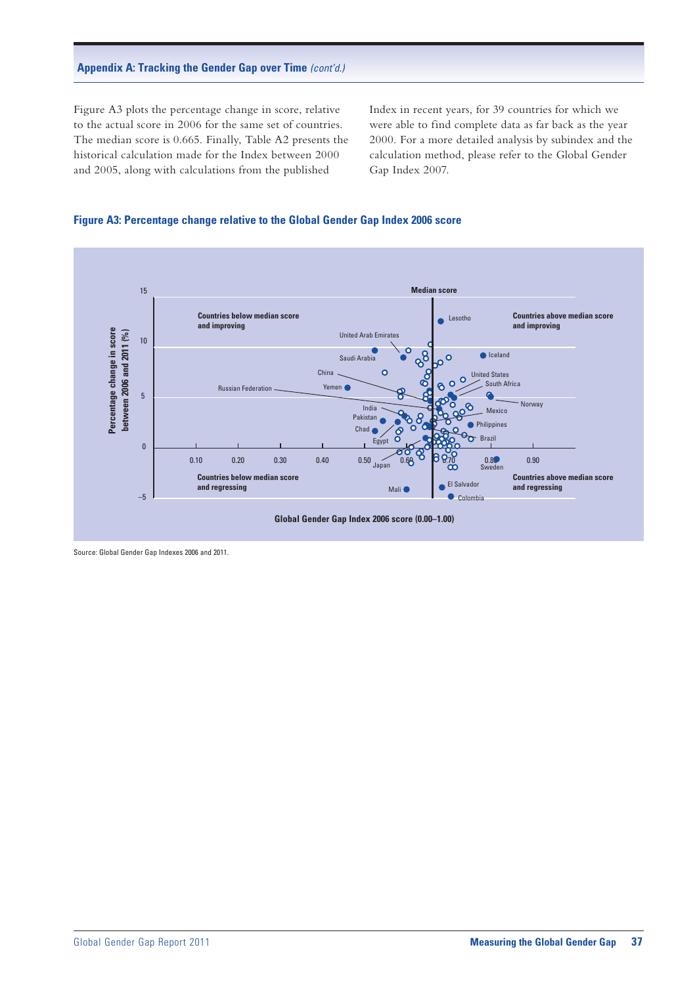## **Appendix A: Tracking the Gender Gap over Time** *(cont'd.)*

Figure A3 plots the percentage change in score, relative to the actual score in 2006 for the same set of countries. The median score is 0.665. Finally, Table A2 presents the historical calculation made for the Index between 2000 and 2005, along with calculations from the published

Index in recent years, for 39 countries for which we were able to find complete data as far back as the year 2000. For a more detailed analysis by subindex and the calculation method, please refer to the Global Gender Gap Index 2007.

### **Figure A3: Percentage change relative to the Global Gender Gap Index 2006 score**



Source: Global Gender Gap Indexes 2006 and 2011.